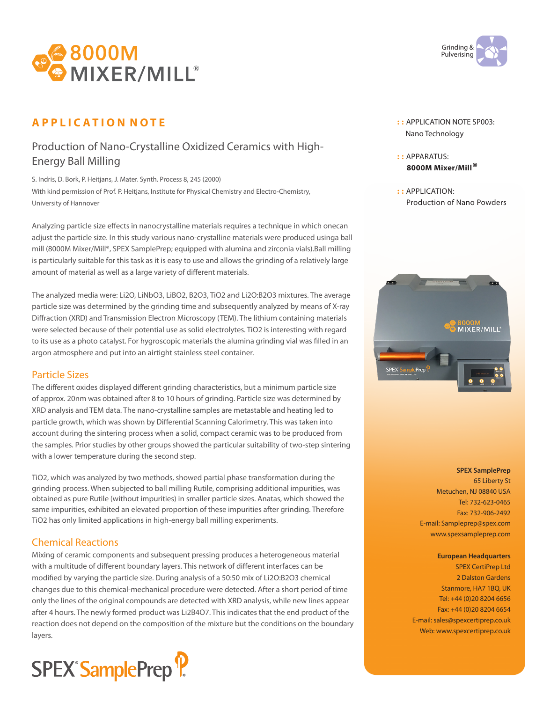

# **A P P L I C A T I O N N O T E**

## Production of Nano-Crystalline Oxidized Ceramics with High-Energy Ball Milling

S. Indris, D. Bork, P. Heitjans, J. Mater. Synth. Process 8, 245 (2000) With kind permission of Prof. P. Heitjans, Institute for Physical Chemistry and Electro-Chemistry, University of Hannover

Analyzing particle size effects in nanocrystalline materials requires a technique in which onecan adjust the particle size. In this study various nano-crystalline materials were produced usinga ball mill (8000M Mixer/Mill®, SPEX SamplePrep; equipped with alumina and zirconia vials).Ball milling is particularly suitable for this task as it is easy to use and allows the grinding of a relatively large amount of material as well as a large variety of different materials.

The analyzed media were: Li2O, LiNbO3, LiBO2, B2O3, TiO2 and Li2O:B2O3 mixtures. The average particle size was determined by the grinding time and subsequently analyzed by means of X-ray Diffraction (XRD) and Transmission Electron Microscopy (TEM). The lithium containing materials were selected because of their potential use as solid electrolytes. TiO2 is interesting with regard to its use as a photo catalyst. For hygroscopic materials the alumina grinding vial was filled in an argon atmosphere and put into an airtight stainless steel container.

### Particle Sizes

The different oxides displayed different grinding characteristics, but a minimum particle size of approx. 20nm was obtained after 8 to 10 hours of grinding. Particle size was determined by XRD analysis and TEM data. The nano-crystalline samples are metastable and heating led to particle growth, which was shown by Differential Scanning Calorimetry. This was taken into account during the sintering process when a solid, compact ceramic was to be produced from the samples. Prior studies by other groups showed the particular suitability of two-step sintering with a lower temperature during the second step.

TiO2, which was analyzed by two methods, showed partial phase transformation during the grinding process. When subjected to ball milling Rutile, comprising additional impurities, was obtained as pure Rutile (without impurities) in smaller particle sizes. Anatas, which showed the same impurities, exhibited an elevated proportion of these impurities after grinding. Therefore TiO2 has only limited applications in high-energy ball milling experiments.

### Chemical Reactions

Mixing of ceramic components and subsequent pressing produces a heterogeneous material with a multitude of different boundary layers. This network of different interfaces can be modified by varying the particle size. During analysis of a 50:50 mix of Li2O:B2O3 chemical changes due to this chemical-mechanical procedure were detected. After a short period of time only the lines of the original compounds are detected with XRD analysis, while new lines appear after 4 hours. The newly formed product was Li2B4O7. This indicates that the end product of the reaction does not depend on the composition of the mixture but the conditions on the boundary layers.





- **: :** APPLICATION NOTE SP003: Nano Technology
- **: :** APPARATUS: **8000M Mixer/Mill®**
- **: :** APPLICATION: Production of Nano Powders



#### **SPEX SamplePrep**

65 Liberty St Metuchen, NJ 08840 USA Tel: 732-623-0465 Fax: 732-906-2492 E-mail: Sampleprep@spex.com www.spexsampleprep.com

**European Headquarters** SPEX CertiPrep Ltd 2 Dalston Gardens Stanmore, HA7 1BQ, UK Tel: +44 (0)20 8204 6656 Fax: +44 (0)20 8204 6654 E-mail: sales@spexcertiprep.co.uk Web: www.spexcertiprep.co.uk